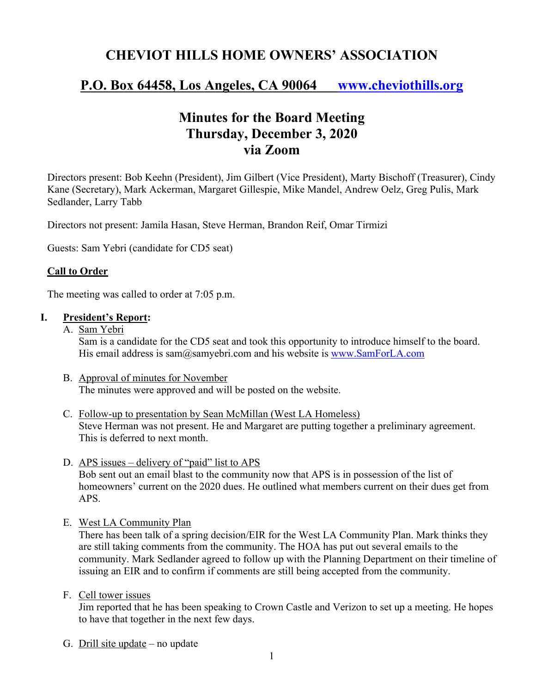# **CHEVIOT HILLS HOME OWNERS' ASSOCIATION**

## **P.O. Box 64458, Los Angeles, CA 90064 www.cheviothills.org**

## **Minutes for the Board Meeting Thursday, December 3, 2020 via Zoom**

Directors present: Bob Keehn (President), Jim Gilbert (Vice President), Marty Bischoff (Treasurer), Cindy Kane (Secretary), Mark Ackerman, Margaret Gillespie, Mike Mandel, Andrew Oelz, Greg Pulis, Mark Sedlander, Larry Tabb

Directors not present: Jamila Hasan, Steve Herman, Brandon Reif, Omar Tirmizi

Guests: Sam Yebri (candidate for CD5 seat)

### **Call to Order**

The meeting was called to order at 7:05 p.m.

#### **I. President's Report:**

- A. Sam Yebri Sam is a candidate for the CD5 seat and took this opportunity to introduce himself to the board. His email address is sam@samyebri.com and his website is www.SamForLA.com
- B. Approval of minutes for November The minutes were approved and will be posted on the website.
- C. Follow-up to presentation by Sean McMillan (West LA Homeless) Steve Herman was not present. He and Margaret are putting together a preliminary agreement. This is deferred to next month.
- D. APS issues delivery of "paid" list to APS Bob sent out an email blast to the community now that APS is in possession of the list of homeowners' current on the 2020 dues. He outlined what members current on their dues get from APS.
- E. West LA Community Plan

There has been talk of a spring decision/EIR for the West LA Community Plan. Mark thinks they are still taking comments from the community. The HOA has put out several emails to the community. Mark Sedlander agreed to follow up with the Planning Department on their timeline of issuing an EIR and to confirm if comments are still being accepted from the community.

F. Cell tower issues

Jim reported that he has been speaking to Crown Castle and Verizon to set up a meeting. He hopes to have that together in the next few days.

G. Drill site update – no update